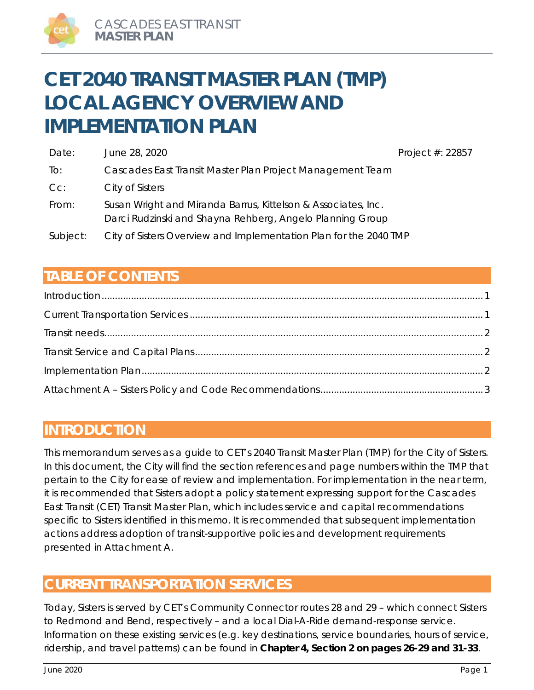# **CET 2040 TRANSIT MASTER PLAN (TMP) LOCAL AGENCY OVERVIEW AND IMPLEMENTATION PLAN**

| Date:    | June 28, 2020                                                                                                              | Project #: 22857 |
|----------|----------------------------------------------------------------------------------------------------------------------------|------------------|
| To:      | Cascades East Transit Master Plan Project Management Team                                                                  |                  |
| Cc:      | City of Sisters                                                                                                            |                  |
| From:    | Susan Wright and Miranda Barrus, Kittelson & Associates, Inc.<br>Darci Rudzinski and Shayna Rehberg, Angelo Planning Group |                  |
| Subject: | City of Sisters Overview and Implementation Plan for the 2040 TMP                                                          |                  |

# **TABLE OF CONTENTS**

# **INTRODUCTION**

This memorandum serves as a guide to CET's 2040 Transit Master Plan (TMP) for the City of Sisters. In this document, the City will find the section references and page numbers within the TMP that pertain to the City for ease of review and implementation. For implementation in the near term, it is recommended that Sisters adopt a policy statement expressing support for the Cascades East Transit (CET) Transit Master Plan, which includes service and capital recommendations specific to Sisters identified in this memo. It is recommended that subsequent implementation actions address adoption of transit-supportive policies and development requirements presented in Attachment A.

# **CURRENT TRANSPORTATION SERVICES**

Today, Sisters is served by CET's Community Connector routes 28 and 29 – which connect Sisters to Redmond and Bend, respectively – and a local Dial-A-Ride demand-response service. Information on these existing services (e.g. key destinations, service boundaries, hours of service, ridership, and travel patterns) can be found in **Chapter 4, Section 2 on pages 26-29 and 31-33**.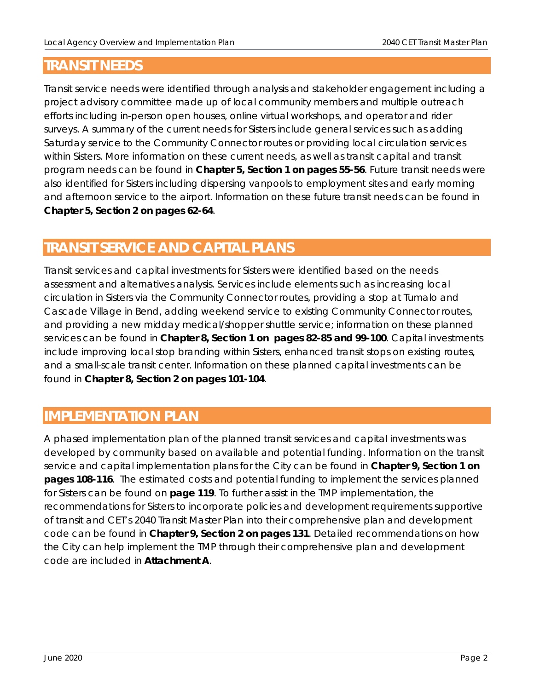# **TRANSIT NEEDS**

Transit service needs were identified through analysis and stakeholder engagement including a project advisory committee made up of local community members and multiple outreach efforts including in-person open houses, online virtual workshops, and operator and rider surveys. A summary of the current needs for Sisters include general services such as adding Saturday service to the Community Connector routes or providing local circulation services within Sisters. More information on these current needs, as well as transit capital and transit program needs can be found in **Chapter 5, Section 1 on pages 55-56**. Future transit needs were also identified for Sisters including dispersing vanpools to employment sites and early morning and afternoon service to the airport. Information on these future transit needs can be found in **Chapter 5, Section 2 on pages 62-64**.

# **TRANSIT SERVICE AND CAPITAL PLANS**

Transit services and capital investments for Sisters were identified based on the needs assessment and alternatives analysis. Services include elements such as increasing local circulation in Sisters via the Community Connector routes, providing a stop at Tumalo and Cascade Village in Bend, adding weekend service to existing Community Connector routes, and providing a new midday medical/shopper shuttle service; information on these planned services can be found in **Chapter 8, Section 1 on pages 82-85 and 99-100**. Capital investments include improving local stop branding within Sisters, enhanced transit stops on existing routes, and a small-scale transit center. Information on these planned capital investments can be found in **Chapter 8, Section 2 on pages 101-104**.

# **IMPLEMENTATION PLAN**

A phased implementation plan of the planned transit services and capital investments was developed by community based on available and potential funding. Information on the transit service and capital implementation plans for the City can be found in **Chapter 9, Section 1 on pages 108-116**. The estimated costs and potential funding to implement the services planned for Sisters can be found on **page 119**. To further assist in the TMP implementation, the recommendations for Sisters to incorporate policies and development requirements supportive of transit and CET's 2040 Transit Master Plan into their comprehensive plan and development code can be found in **Chapter 9, Section 2 on pages 131**. Detailed recommendations on how the City can help implement the TMP through their comprehensive plan and development code are included in **Attachment A**.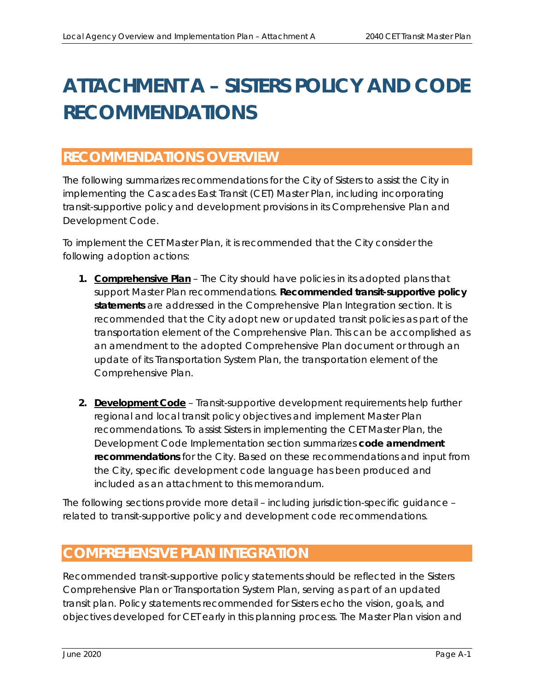# **ATTACHMENT A – SISTERS POLICY AND CODE RECOMMENDATIONS**

# **RECOMMENDATIONS OVERVIEW**

The following summarizes recommendations for the City of Sisters to assist the City in implementing the Cascades East Transit (CET) Master Plan, including incorporating transit-supportive policy and development provisions in its Comprehensive Plan and Development Code.

To implement the CET Master Plan, it is recommended that the City consider the following adoption actions:

- **1. Comprehensive Plan**  The City should have policies in its adopted plans that support Master Plan recommendations. **Recommended transit-supportive policy statements** are addressed in the *Comprehensive Plan Integration* section. It is recommended that the City adopt new or updated transit policies as part of the transportation element of the Comprehensive Plan. This can be accomplished as an amendment to the adopted Comprehensive Plan document or through an update of its Transportation System Plan, the transportation element of the Comprehensive Plan.
- **2. Development Code** Transit-supportive development requirements help further regional and local transit policy objectives and implement Master Plan recommendations. To assist Sisters in implementing the CET Master Plan, the *Development Code Implementation* section summarizes **code amendment recommendations** for the City. Based on these recommendations and input from the City, specific development code language has been produced and included as an attachment to this memorandum.

The following sections provide more detail – including jurisdiction-specific guidance – related to transit-supportive policy and development code recommendations.

# **COMPREHENSIVE PLAN INTEGRATION**

Recommended transit-supportive policy statements should be reflected in the Sisters Comprehensive Plan or Transportation System Plan, serving as part of an updated transit plan. Policy statements recommended for Sisters echo the vision, goals, and objectives developed for CET early in this planning process. The Master Plan vision and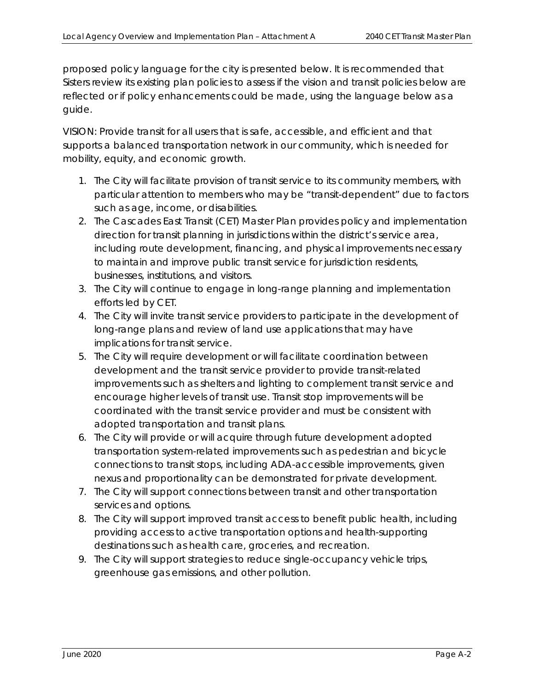proposed policy language for the city is presented below. It is recommended that Sisters review its existing plan policies to assess if the vision and transit policies below are reflected or if policy enhancements could be made, using the language below as a guide.

VISION: Provide transit for all users that is safe, accessible, and efficient and that supports a balanced transportation network in our community, which is needed for mobility, equity, and economic growth.

- *1. The City will facilitate provision of transit service to its community members, with particular attention to members who may be "transit-dependent" due to factors such as age, income, or disabilities.*
- *2. The Cascades East Transit (CET) Master Plan provides policy and implementation direction for transit planning in jurisdictions within the district's service area, including route development, financing, and physical improvements necessary to maintain and improve public transit service for jurisdiction residents, businesses, institutions, and visitors.*
- *3. The City will continue to engage in long-range planning and implementation efforts led by CET.*
- *4. The City will invite transit service providers to participate in the development of long-range plans and review of land use applications that may have implications for transit service.*
- *5. The City will require development or will facilitate coordination between development and the transit service provider to provide transit-related improvements such as shelters and lighting to complement transit service and encourage higher levels of transit use. Transit stop improvements will be coordinated with the transit service provider and must be consistent with adopted transportation and transit plans.*
- *6. The City will provide or will acquire through future development adopted transportation system-related improvements such as pedestrian and bicycle connections to transit stops, including ADA-accessible improvements, given nexus and proportionality can be demonstrated for private development.*
- *7. The City will support connections between transit and other transportation services and options.*
- *8. The City will support improved transit access to benefit public health, including providing access to active transportation options and health-supporting destinations such as health care, groceries, and recreation.*
- *9. The City will support strategies to reduce single-occupancy vehicle trips, greenhouse gas emissions, and other pollution.*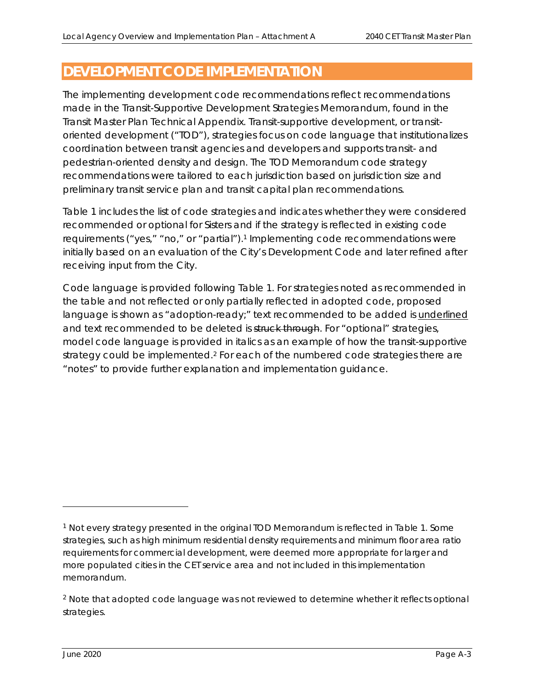# **DEVELOPMENT CODE IMPLEMENTATION**

The implementing development code recommendations reflect recommendations made in the Transit-Supportive Development Strategies Memorandum, found in the Transit Master Plan Technical Appendix. Transit-supportive development, or transitoriented development ("TOD"), strategies focus on code language that institutionalizes coordination between transit agencies and developers and supports transit- and pedestrian-oriented density and design. The TOD Memorandum code strategy recommendations were tailored to each jurisdiction based on jurisdiction size and preliminary transit service plan and transit capital plan recommendations.

Table 1 includes the list of code strategies and indicates whether they were considered recommended or optional for Sisters and if the strategy is reflected in existing code requirements ("yes," "no," or "partial").<sup>1</sup> Implementing code recommendations were initially based on an evaluation of the City's Development Code and later refined after receiving input from the City.

Code language is provided following Table 1. For strategies noted as recommended in the table and not reflected or only partially reflected in adopted code, proposed language is shown as "adoption-ready;" text recommended to be added is *underlined* and text recommended to be deleted is struck through. For "optional" strategies, model code language is provided in *italics* as an example of how the transit-supportive strategy could be implemented.<sup>2</sup> For each of the numbered code strategies there are "notes" to provide further explanation and implementation guidance.

<sup>1</sup> Not every strategy presented in the original TOD Memorandum is reflected in Table 1. Some strategies, such as high minimum residential density requirements and minimum floor area ratio requirements for commercial development, were deemed more appropriate for larger and more populated cities in the CET service area and not included in this implementation memorandum.

<sup>&</sup>lt;sup>2</sup> Note that adopted code language was not reviewed to determine whether it reflects optional strategies.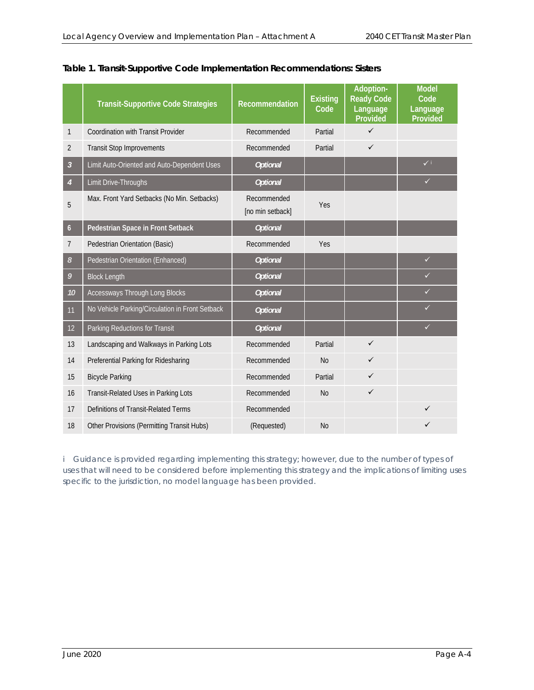|                  | <b>Transit-Supportive Code Strategies</b>       | <b>Recommendation</b>           | <b>Existing</b><br>Code | Adoption-<br><b>Ready Code</b><br>Language<br>Provided | <b>Model</b><br>Code<br>Language<br>Provided |
|------------------|-------------------------------------------------|---------------------------------|-------------------------|--------------------------------------------------------|----------------------------------------------|
| 1                | Coordination with Transit Provider              | Recommended                     | Partial                 | $\checkmark$                                           |                                              |
| 2                | <b>Transit Stop Improvements</b>                | Recommended                     | Partial                 | $\checkmark$                                           |                                              |
| $\mathfrak{Z}$   | Limit Auto-Oriented and Auto-Dependent Uses     | <b>Optional</b>                 |                         |                                                        | $\checkmark$                                 |
| 4                | Limit Drive-Throughs                            | <b>Optional</b>                 |                         |                                                        | $\checkmark$                                 |
| 5                | Max. Front Yard Setbacks (No Min. Setbacks)     | Recommended<br>[no min setback] | Yes                     |                                                        |                                              |
| $\boldsymbol{6}$ | Pedestrian Space in Front Setback               | <b>Optional</b>                 |                         |                                                        |                                              |
| 7                | Pedestrian Orientation (Basic)                  | Recommended                     | Yes                     |                                                        |                                              |
| 8                | Pedestrian Orientation (Enhanced)               | <b>Optional</b>                 |                         |                                                        | $\checkmark$                                 |
| 9                | <b>Block Length</b>                             | <b>Optional</b>                 |                         |                                                        | $\checkmark$                                 |
| 10               | Accessways Through Long Blocks                  | <b>Optional</b>                 |                         |                                                        | ✓                                            |
| 11               | No Vehicle Parking/Circulation in Front Setback | <b>Optional</b>                 |                         |                                                        | $\checkmark$                                 |
| 12               | Parking Reductions for Transit                  | <b>Optional</b>                 |                         |                                                        | $\checkmark$                                 |
| 13               | Landscaping and Walkways in Parking Lots        | Recommended                     | Partial                 | $\checkmark$                                           |                                              |
| 14               | Preferential Parking for Ridesharing            | Recommended                     | No                      | $\checkmark$                                           |                                              |
| 15               | <b>Bicycle Parking</b>                          | Recommended                     | Partial                 | $\checkmark$                                           |                                              |
| 16               | Transit-Related Uses in Parking Lots            | Recommended                     | <b>No</b>               | $\checkmark$                                           |                                              |
| 17               | Definitions of Transit-Related Terms            | Recommended                     |                         |                                                        |                                              |
| 18               | Other Provisions (Permitting Transit Hubs)      | (Requested)                     | <b>No</b>               |                                                        | ✓                                            |

#### **Table 1. Transit-Supportive Code Implementation Recommendations: Sisters**

*i* Guidance is provided regarding implementing this strategy; however, due to the number of types of *uses that will need to be considered before implementing this strategy and the implications of limiting uses specific to the jurisdiction, no model language has been provided.*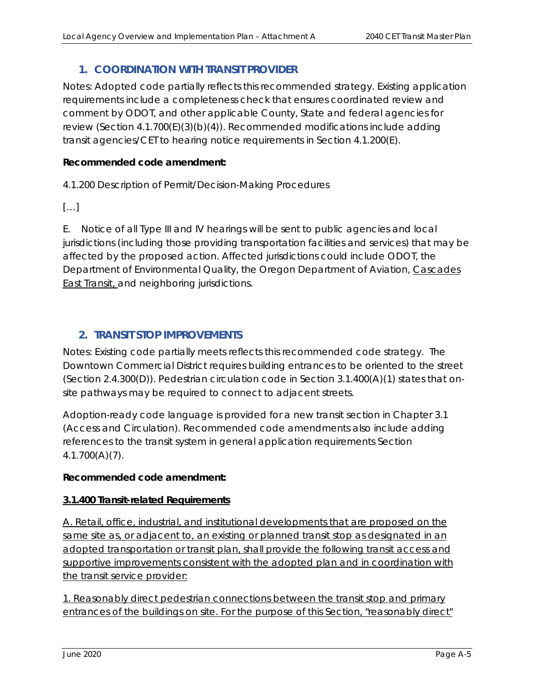# **1. COORDINATION WITH TRANSIT PROVIDER**

Notes: Adopted code partially reflects this recommended strategy. Existing application requirements include a completeness check that ensures coordinated review and comment by ODOT, and other applicable County, State and federal agencies for review (Section 4.1.700(E)(3)(b)(4)). Recommended modifications include adding transit agencies/CET to hearing notice requirements in Section 4.1.200(E).

#### **Recommended code amendment:**

4.1.200 Description of Permit/Decision-Making Procedures

 $[\ldots]$ 

E. Notice of all Type III and IV hearings will be sent to public agencies and local jurisdictions (including those providing transportation facilities and services) that may be affected by the proposed action. Affected jurisdictions could include ODOT, the Department of Environmental Quality, the Oregon Department of Aviation, Cascades East Transit, and neighboring jurisdictions.

# **2. TRANSIT STOP IMPROVEMENTS**

Notes: Existing code partially meets reflects this recommended code strategy. The Downtown Commercial District requires building entrances to be oriented to the street (Section 2.4.300(D)). Pedestrian circulation code in Section 3.1.400(A)(1) states that onsite pathways *may* be required to connect to adjacent streets.

Adoption-ready code language is provided for a new transit section in Chapter 3.1 (Access and Circulation). Recommended code amendments also include adding references to the transit system in general application requirements Section 4.1.700(A)(7).

#### **Recommended code amendment:**

#### **3.1.400 Transit-related Requirements**

A. Retail, office, industrial, and institutional developments that are proposed on the same site as, or adjacent to, an existing or planned transit stop as designated in an adopted transportation or transit plan, shall provide the following transit access and supportive improvements consistent with the adopted plan and in coordination with the transit service provider:

1. Reasonably direct pedestrian connections between the transit stop and primary entrances of the buildings on site. For the purpose of this Section, "reasonably direct"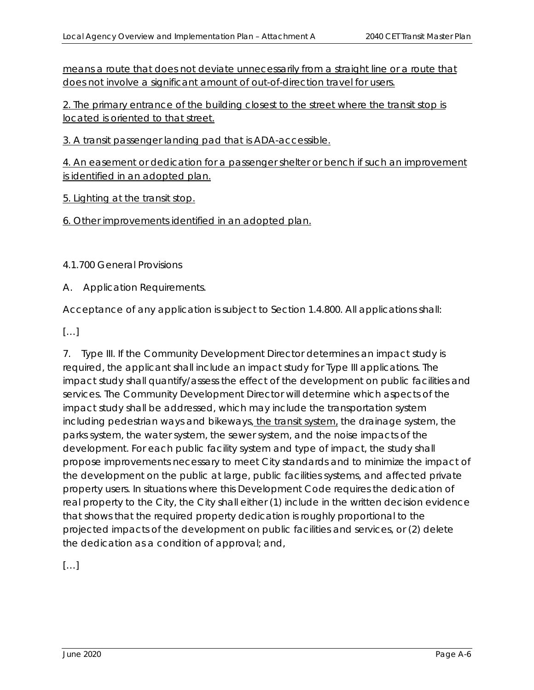means a route that does not deviate unnecessarily from a straight line or a route that does not involve a significant amount of out-of-direction travel for users.

2. The primary entrance of the building closest to the street where the transit stop is located is oriented to that street.

3. A transit passenger landing pad that is ADA-accessible.

4. An easement or dedication for a passenger shelter or bench if such an improvement is identified in an adopted plan.

5. Lighting at the transit stop.

6. Other improvements identified in an adopted plan.

4.1.700 General Provisions

A. Application Requirements.

Acceptance of any application is subject to Section 1.4.800. All applications shall:

[…]

7. Type III. If the Community Development Director determines an impact study is required, the applicant shall include an impact study for Type III applications. The impact study shall quantify/assess the effect of the development on public facilities and services. The Community Development Director will determine which aspects of the impact study shall be addressed, which may include the transportation system including pedestrian ways and bikeways, the transit system, the drainage system, the parks system, the water system, the sewer system, and the noise impacts of the development. For each public facility system and type of impact, the study shall propose improvements necessary to meet City standards and to minimize the impact of the development on the public at large, public facilities systems, and affected private property users. In situations where this Development Code requires the dedication of real property to the City, the City shall either (1) include in the written decision evidence that shows that the required property dedication is roughly proportional to the projected impacts of the development on public facilities and services, or (2) delete the dedication as a condition of approval; and,

 $[\ldots]$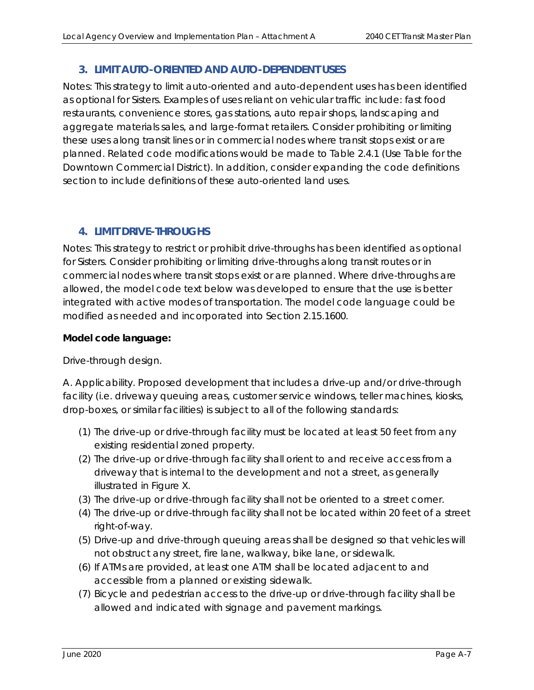# **3. LIMIT AUTO-ORIENTED AND AUTO-DEPENDENT USES**

Notes: This strategy to limit auto-oriented and auto-dependent uses has been identified as optional for Sisters. Examples of uses reliant on vehicular traffic include: fast food restaurants, convenience stores, gas stations, auto repair shops, landscaping and aggregate materials sales, and large-format retailers. Consider prohibiting or limiting these uses along transit lines or in commercial nodes where transit stops exist or are planned. Related code modifications would be made to Table 2.4.1 (Use Table for the Downtown Commercial District). In addition, consider expanding the code definitions section to include definitions of these auto-oriented land uses.

## **4. LIMIT DRIVE-THROUGHS**

Notes: This strategy to restrict or prohibit drive-throughs has been identified as optional for Sisters. Consider prohibiting or limiting drive-throughs along transit routes or in commercial nodes where transit stops exist or are planned. Where drive-throughs are allowed, the model code text below was developed to ensure that the use is better integrated with active modes of transportation. The model code language could be modified as needed and incorporated into Section 2.15.1600.

#### **Model code language:**

#### *Drive-through design.*

*A. Applicability. Proposed development that includes a drive-up and/or drive-through facility (i.e. driveway queuing areas, customer service windows, teller machines, kiosks, drop-boxes, or similar facilities) is subject to all of the following standards:* 

- *(1) The drive-up or drive-through facility must be located at least 50 feet from any existing residential zoned property.*
- *(2) The drive-up or drive-through facility shall orient to and receive access from a driveway that is internal to the development and not a street, as generally illustrated in Figure X.*
- *(3) The drive-up or drive-through facility shall not be oriented to a street corner.*
- *(4) The drive-up or drive-through facility shall not be located within 20 feet of a street right-of-way.*
- *(5) Drive-up and drive-through queuing areas shall be designed so that vehicles will not obstruct any street, fire lane, walkway, bike lane, or sidewalk.*
- *(6) If ATMs are provided, at least one ATM shall be located adjacent to and accessible from a planned or existing sidewalk.*
- *(7) Bicycle and pedestrian access to the drive-up or drive-through facility shall be allowed and indicated with signage and pavement markings.*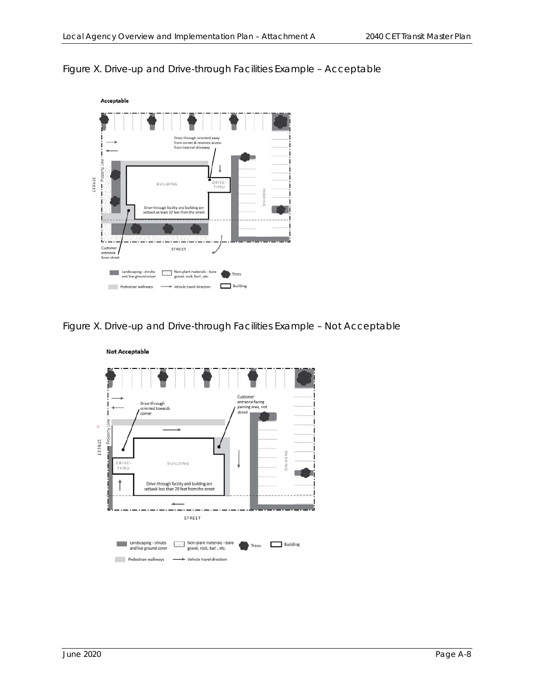#### *Figure X. Drive-up and Drive-through Facilities Example – Acceptable*



*Figure X. Drive-up and Drive-through Facilities Example – Not Acceptable* 



#### **Not Acceptable**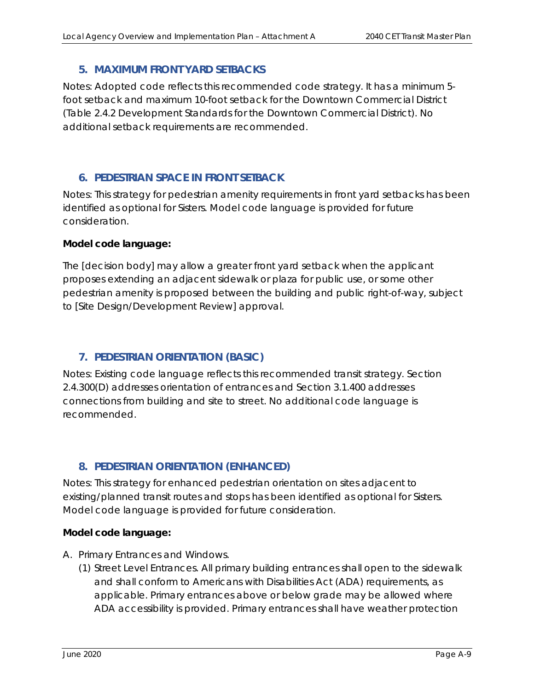### **5. MAXIMUM FRONT YARD SETBACKS**

Notes: Adopted code reflects this recommended code strategy. It has a minimum 5 foot setback and maximum 10-foot setback for the Downtown Commercial District (Table 2.4.2 Development Standards for the Downtown Commercial District). No additional setback requirements are recommended.

## **6. PEDESTRIAN SPACE IN FRONT SETBACK**

Notes: This strategy for pedestrian amenity requirements in front yard setbacks has been identified as optional for Sisters. Model code language is provided for future consideration.

#### **Model code language:**

*The [decision body] may allow a greater front yard setback when the applicant proposes extending an adjacent sidewalk or plaza for public use, or some other pedestrian amenity is proposed between the building and public right-of-way, subject to [Site Design/Development Review] approval.* 

# **7. PEDESTRIAN ORIENTATION (BASIC)**

Notes: Existing code language reflects this recommended transit strategy. Section 2.4.300(D) addresses orientation of entrances and Section 3.1.400 addresses connections from building and site to street. No additional code language is recommended.

# **8. PEDESTRIAN ORIENTATION (ENHANCED)**

Notes: This strategy for enhanced pedestrian orientation on sites adjacent to existing/planned transit routes and stops has been identified as optional for Sisters. Model code language is provided for future consideration.

#### **Model code language:**

- *A. Primary Entrances and Windows.* 
	- *(1) Street Level Entrances. All primary building entrances shall open to the sidewalk and shall conform to Americans with Disabilities Act (ADA) requirements, as applicable. Primary entrances above or below grade may be allowed where ADA accessibility is provided. Primary entrances shall have weather protection*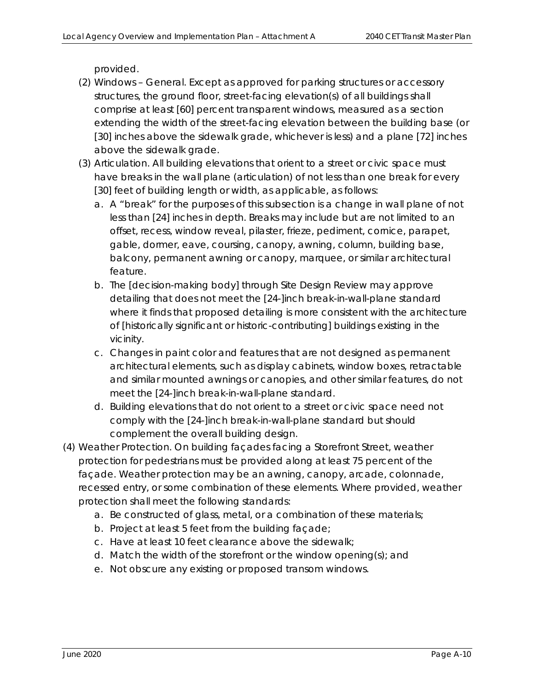*provided.* 

- *(2) Windows General. Except as approved for parking structures or accessory structures, the ground floor, street-facing elevation(s) of all buildings shall comprise at least [60] percent transparent windows, measured as a section extending the width of the street-facing elevation between the building base (or [30] inches above the sidewalk grade, whichever is less) and a plane [72] inches above the sidewalk grade.*
- *(3) Articulation. All building elevations that orient to a street or civic space must have breaks in the wall plane (articulation) of not less than one break for every [30] feet of building length or width, as applicable, as follows:* 
	- a. A "break" for the purposes of this subsection is a change in wall plane of not less than [24] inches in depth. Breaks may include but are not limited to an *offset, recess, window reveal, pilaster, frieze, pediment, cornice, parapet, gable, dormer, eave, coursing, canopy, awning, column, building base, balcony, permanent awning or canopy, marquee, or similar architectural feature.*
	- *b. The [decision-making body] through Site Design Review may approve detailing that does not meet the [24-]inch break-in-wall-plane standard where it finds that proposed detailing is more consistent with the architecture of [historically significant or historic-contributing] buildings existing in the vicinity.*
	- *c. Changes in paint color and features that are not designed as permanent architectural elements, such as display cabinets, window boxes, retractable and similar mounted awnings or canopies, and other similar features, do not meet the [24-]inch break-in-wall-plane standard.*
	- *d. Building elevations that do not orient to a street or civic space need not comply with the [24-]inch break-in-wall-plane standard but should complement the overall building design.*
- *(4) Weather Protection.* On building façades facing a Storefront Street, weather protection for pedestrians must be provided along at least 75 percent of the façade. Weather protection may be an awning, canopy, arcade, colonnade, recessed entry, or some combination of these elements. Where provided, weather protection shall meet the following standards:
	- *a.* Be constructed of glass, metal, or a combination of these materials;
	- *b.* Project at least 5 feet from the building façade;
	- *c.* Have at least 10 feet clearance above the sidewalk;
	- *d.* Match the width of the storefront or the window opening(s); and
	- *e.* Not obscure any existing or proposed transom windows.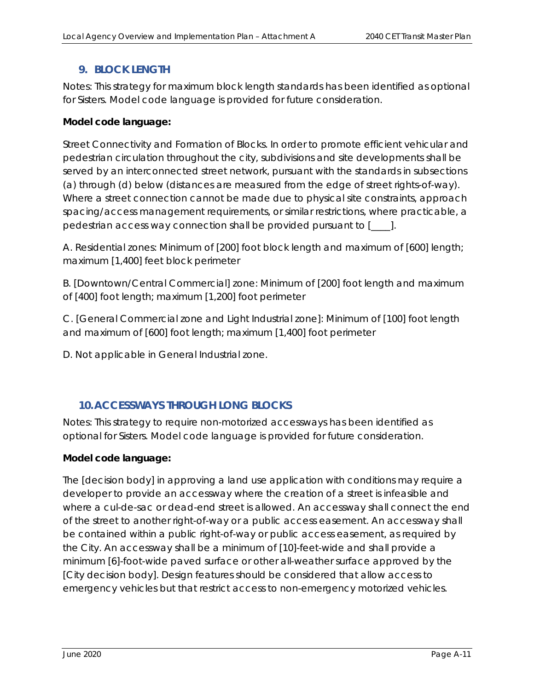# **9. BLOCK LENGTH**

Notes: This strategy for maximum block length standards has been identified as optional for Sisters. Model code language is provided for future consideration.

#### **Model code language:**

*Street Connectivity and Formation of Blocks. In order to promote efficient vehicular and pedestrian circulation throughout the city, subdivisions and site developments shall be served by an interconnected street network, pursuant with the standards in subsections (a) through (d) below (distances are measured from the edge of street rights-of-way). Where a street connection cannot be made due to physical site constraints, approach spacing/access management requirements, or similar restrictions, where practicable, a pedestrian access way connection shall be provided pursuant to [\_\_\_\_].* 

*A. Residential zones: Minimum of [200] foot block length and maximum of [600] length; maximum [1,400] feet block perimeter* 

*B. [Downtown/Central Commercial] zone: Minimum of [200] foot length and maximum of [400] foot length; maximum [1,200] foot perimeter* 

*C. [General Commercial zone and Light Industrial zone]: Minimum of [100] foot length and maximum of [600] foot length; maximum [1,400] foot perimeter* 

*D. Not applicable in General Industrial zone.* 

# **10.ACCESSWAYS THROUGH LONG BLOCKS**

Notes: This strategy to require non-motorized accessways has been identified as optional for Sisters. Model code language is provided for future consideration.

#### **Model code language:**

*The [decision body] in approving a land use application with conditions may require a developer to provide an accessway where the creation of a street is infeasible and where a cul-de-sac or dead-end street is allowed. An accessway shall connect the end of the street to another right-of-way or a public access easement. An accessway shall be contained within a public right-of-way or public access easement, as required by the City. An accessway shall be a minimum of [10]-feet-wide and shall provide a minimum [6]-foot-wide paved surface or other all-weather surface approved by the [City decision body]. Design features should be considered that allow access to emergency vehicles but that restrict access to non-emergency motorized vehicles.*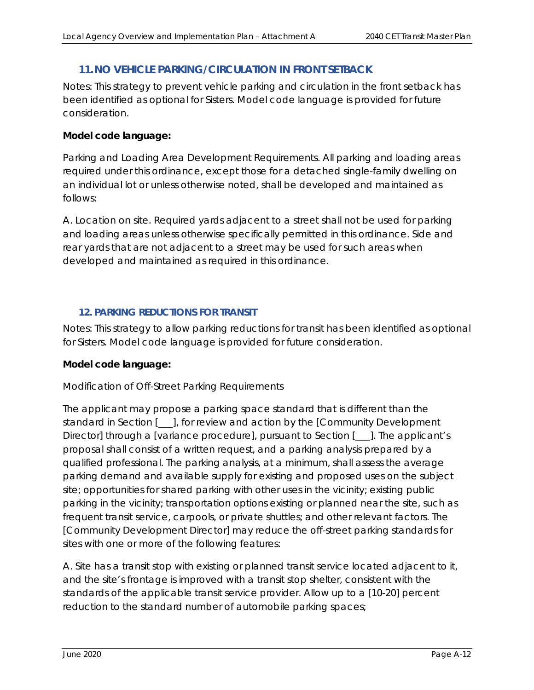# **11.NO VEHICLE PARKING/CIRCULATION IN FRONT SETBACK**

Notes: This strategy to prevent vehicle parking and circulation in the front setback has been identified as optional for Sisters. Model code language is provided for future consideration.

#### **Model code language:**

*Parking and Loading Area Development Requirements. All parking and loading areas required under this ordinance, except those for a detached single-family dwelling on an individual lot or unless otherwise noted, shall be developed and maintained as follows:* 

*A. Location on site. Required yards adjacent to a street shall not be used for parking and loading areas unless otherwise specifically permitted in this ordinance. Side and rear yards that are not adjacent to a street may be used for such areas when developed and maintained as required in this ordinance.* 

## **12. PARKING REDUCTIONS FOR TRANSIT**

Notes: This strategy to allow parking reductions for transit has been identified as optional for Sisters. Model code language is provided for future consideration.

#### **Model code language:**

#### *Modification of Off-Street Parking Requirements*

*The applicant may propose a parking space standard that is different than the standard in Section [\_\_\_], for review and action by the [Community Development Director] through a [variance procedure], pursuant to Section [\_\_\_]. The applicant's proposal shall consist of a written request, and a parking analysis prepared by a qualified professional. The parking analysis, at a minimum, shall assess the average parking demand and available supply for existing and proposed uses on the subject site; opportunities for shared parking with other uses in the vicinity; existing public parking in the vicinity; transportation options existing or planned near the site, such as frequent transit service, carpools, or private shuttles; and other relevant factors. The [Community Development Director] may reduce the off-street parking standards for sites with one or more of the following features:* 

*A. Site has a transit stop with existing or planned transit service located adjacent to it, and the site's frontage is improved with a transit stop shelter, consistent with the standards of the applicable transit service provider. Allow up to a [10-20] percent reduction to the standard number of automobile parking spaces;*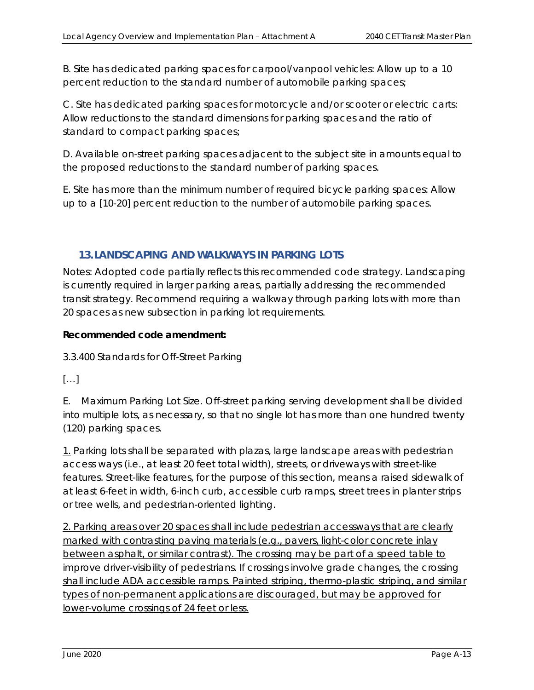*B. Site has dedicated parking spaces for carpool/vanpool vehicles: Allow up to a 10 percent reduction to the standard number of automobile parking spaces;* 

*C. Site has dedicated parking spaces for motorcycle and/or scooter or electric carts: Allow reductions to the standard dimensions for parking spaces and the ratio of standard to compact parking spaces;* 

*D. Available on-street parking spaces adjacent to the subject site in amounts equal to the proposed reductions to the standard number of parking spaces.* 

*E. Site has more than the minimum number of required bicycle parking spaces: Allow up to a [10-20] percent reduction to the number of automobile parking spaces.* 

# **13.LANDSCAPING AND WALKWAYS IN PARKING LOTS**

Notes: Adopted code partially reflects this recommended code strategy. Landscaping is currently required in larger parking areas, partially addressing the recommended transit strategy. Recommend requiring a walkway through parking lots with more than 20 spaces as new subsection in parking lot requirements.

#### **Recommended code amendment:**

3.3.400 Standards for Off-Street Parking

 $[...]$ 

E. Maximum Parking Lot Size. Off-street parking serving development shall be divided into multiple lots, as necessary, so that no single lot has more than one hundred twenty (120) parking spaces.

1. Parking lots shall be separated with plazas, large landscape areas with pedestrian access ways (i.e., at least 20 feet total width), streets, or driveways with street-like features. Street-like features, for the purpose of this section, means a raised sidewalk of at least 6-feet in width, 6-inch curb, accessible curb ramps, street trees in planter strips or tree wells, and pedestrian-oriented lighting.

2. Parking areas over 20 spaces shall include pedestrian accessways that are clearly marked with contrasting paving materials (e.g., pavers, light-color concrete inlay between asphalt, or similar contrast). The crossing may be part of a speed table to improve driver-visibility of pedestrians. If crossings involve grade changes, the crossing shall include ADA accessible ramps. Painted striping, thermo-plastic striping, and similar types of non-permanent applications are discouraged, but may be approved for lower-volume crossings of 24 feet or less.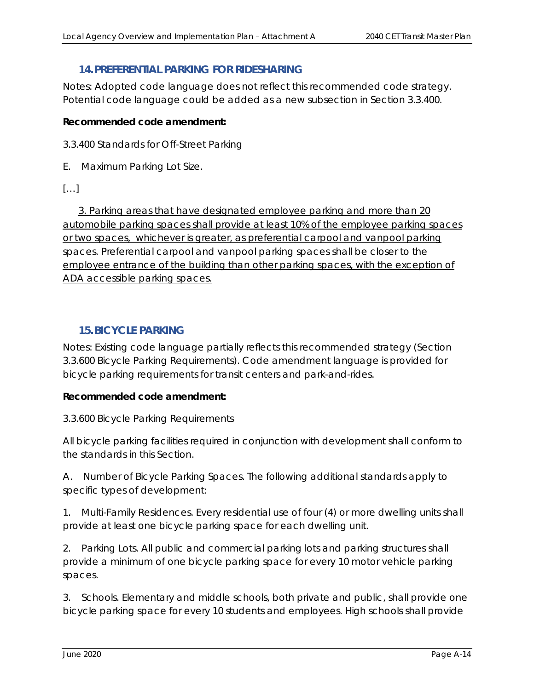## **14.PREFERENTIAL PARKING FOR RIDESHARING**

Notes*:* Adopted code language does not reflect this recommended code strategy. Potential code language could be added as *a* new subsection in Section 3.3.400*.*

#### **Recommended code amendment:**

3.3.400 Standards for Off-Street Parking

E. Maximum Parking Lot Size.

#### $[\ldots]$

3. Parking areas that have designated employee parking and more than 20 automobile parking spaces shall provide at least 10% of the employee parking spaces or two spaces, whichever is greater, as preferential carpool and vanpool parking spaces. Preferential carpool and vanpool parking spaces shall be closer to the employee entrance of the building than other parking spaces, with the exception of ADA accessible parking spaces.

# **15.BICYCLE PARKING**

Notes: Existing code language partially reflects this recommended strategy (Section 3.3.600 Bicycle Parking Requirements). Code amendment language is provided for bicycle parking requirements for transit centers and park-and-rides.

#### **Recommended code amendment:**

3.3.600 Bicycle Parking Requirements

All bicycle parking facilities required in conjunction with development shall conform to the standards in this Section.

A. Number of Bicycle Parking Spaces. The following additional standards apply to specific types of development:

1. Multi-Family Residences. Every residential use of four (4) or more dwelling units shall provide at least one bicycle parking space for each dwelling unit.

2. Parking Lots. All public and commercial parking lots and parking structures shall provide a minimum of one bicycle parking space for every 10 motor vehicle parking spaces.

3. Schools. Elementary and middle schools, both private and public, shall provide one bicycle parking space for every 10 students and employees. High schools shall provide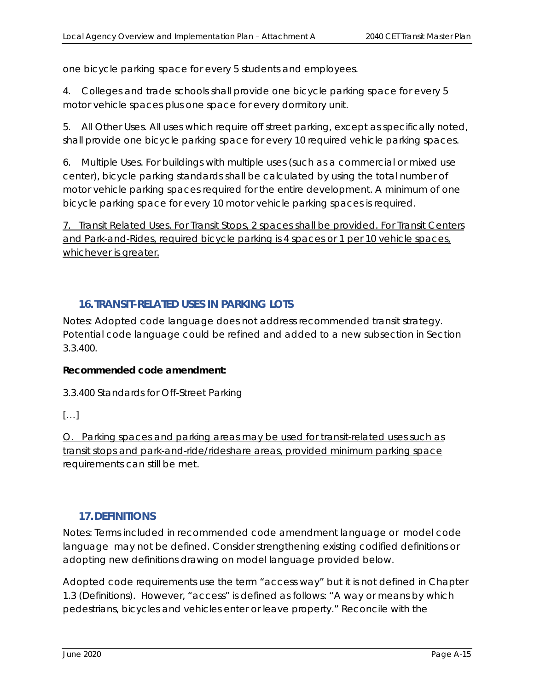one bicycle parking space for every 5 students and employees.

4. Colleges and trade schools shall provide one bicycle parking space for every 5 motor vehicle spaces plus one space for every dormitory unit.

5. All Other Uses. All uses which require off street parking, except as specifically noted, shall provide one bicycle parking space for every 10 required vehicle parking spaces.

6. Multiple Uses. For buildings with multiple uses (such as a commercial or mixed use center), bicycle parking standards shall be calculated by using the total number of motor vehicle parking spaces required for the entire development. A minimum of one bicycle parking space for every 10 motor vehicle parking spaces is required.

7. Transit Related Uses. For Transit Stops, 2 spaces shall be provided. For Transit Centers and Park-and-Rides, required bicycle parking is 4 spaces or 1 per 10 vehicle spaces, whichever is greater.

# **16.TRANSIT-RELATED USES IN PARKING LOTS**

Notes*:* Adopted code language does not address recommended transit strategy. Potential code language could be refined and added to a new subsection in Section 3.3.400.

# **Recommended code amendment:**

3.3.400 Standards for Off-Street Parking

# […]

O. Parking spaces and parking areas may be used for transit-related uses such as transit stops and park-and-ride/rideshare areas, provided minimum parking space requirements can still be met.

# **17.DEFINITIONS**

Notes: Terms included in recommended code amendment language or model code language may not be defined. Consider strengthening existing codified definitions or adopting new definitions drawing on model language provided below.

Adopted code requirements use the term "access way" but it is not defined in Chapter 1.3 (Definitions). However, "access" is defined as follows: "A way or means by which pedestrians, bicycles and vehicles enter or leave property." Reconcile with the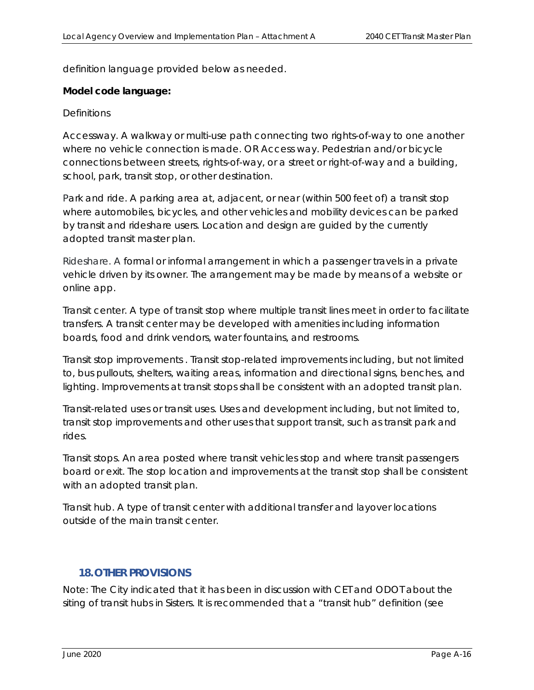definition language provided below as needed.

#### **Model code language:**

#### *Definitions*

*Accessway. A walkway or multi-use path connecting two rights-of-way to one another where no vehicle connection is made. OR Access way. Pedestrian and/or bicycle connections between streets, rights-of-way, or a street or right-of-way and a building, school, park, transit stop, or other destination.* 

*Park and ride. A parking area at, adjacent, or near (within 500 feet of) a transit stop where automobiles, bicycles, and other vehicles and mobility devices can be parked by transit and rideshare users. Location and design are guided by the currently adopted transit master plan.* 

*Rideshare. A formal or informal arrangement in which a passenger travels in a private*  vehicle driven by its owner. The arrangement may be made by means of a website or *online app.* 

*Transit center. A type of transit stop where multiple transit lines meet in order to facilitate transfers. A transit center may be developed with amenities including information boards, food and drink vendors, water fountains, and restrooms.* 

*Transit stop improvements . Transit stop-related improvements including, but not limited to, bus pullouts, shelters, waiting areas, information and directional signs, benches, and*  lighting. Improvements at transit stops shall be consistent with an adopted transit plan.

*Transit-related uses or transit uses. Uses and development including, but not limited to, transit stop improvements and other uses that support transit, such as transit park and rides.* 

*Transit stops. An area posted where transit vehicles stop and where transit passengers board or exit. The stop location and improvements at the transit stop shall be consistent with an adopted transit plan.* 

*Transit hub. A type of transit center with additional transfer and layover locations outside of the main transit center.* 

#### **18.OTHER PROVISIONS**

Note: The City indicated that it has been in discussion with CET and ODOT about the siting of transit hubs in Sisters. It is recommended that a "transit hub" definition (see